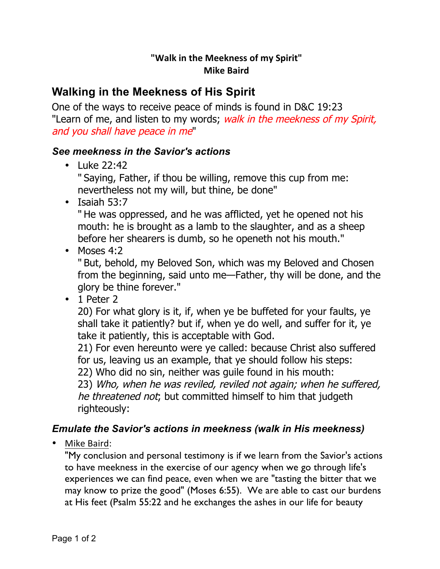## **"Walk in the Meekness of my Spirit" Mike Baird**

## **Walking in the Meekness of His Spirit**

One of the ways to receive peace of minds is found in D&C 19:23 "Learn of me, and listen to my words; walk in the meekness of my Spirit, and you shall have peace in me"

## *See meekness in the Savior's actions*

• Luke 22:42

" Saying, Father, if thou be willing, remove this cup from me: nevertheless not my will, but thine, be done"

• Isaiah 53:7

" He was oppressed, and he was afflicted, yet he opened not his mouth: he is brought as a lamb to the slaughter, and as a sheep before her shearers is dumb, so he openeth not his mouth."

• Moses 4:2

" But, behold, my Beloved Son, which was my Beloved and Chosen from the beginning, said unto me—Father, thy will be done, and the glory be thine forever."

• 1 Peter 2

20) For what glory is it, if, when ye be buffeted for your faults, ye shall take it patiently? but if, when ye do well, and suffer for it, ye take it patiently, this is acceptable with God.

21) For even hereunto were ye called: because Christ also suffered for us, leaving us an example, that ye should follow his steps: 22) Who did no sin, neither was guile found in his mouth:

23) Who, when he was reviled, reviled not again; when he suffered, he threatened not; but committed himself to him that judgeth righteously:

## *Emulate the Savior's actions in meekness (walk in His meekness)*

Mike Baird:

"My conclusion and personal testimony is if we learn from the Savior's actions to have meekness in the exercise of our agency when we go through life's experiences we can find peace, even when we are "tasting the bitter that we may know to prize the good" (Moses 6:55). We are able to cast our burdens at His feet (Psalm 55:22 and he exchanges the ashes in our life for beauty